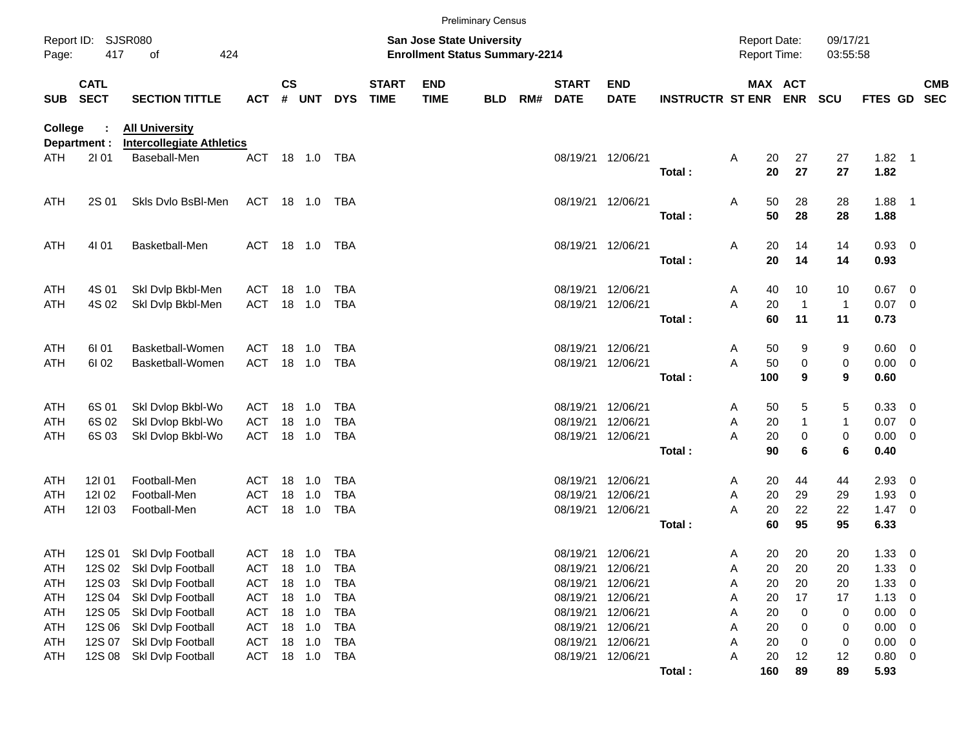|                   |                                                                                                                     |                                                           |                          |               |                  |                          |                             |                           | <b>Preliminary Census</b> |     |                                            |                           |                         |                      |                       |                    |                  |                                |                          |
|-------------------|---------------------------------------------------------------------------------------------------------------------|-----------------------------------------------------------|--------------------------|---------------|------------------|--------------------------|-----------------------------|---------------------------|---------------------------|-----|--------------------------------------------|---------------------------|-------------------------|----------------------|-----------------------|--------------------|------------------|--------------------------------|--------------------------|
| Page:             | Report ID: SJSR080<br><b>San Jose State University</b><br>417<br>424<br><b>Enrollment Status Summary-2214</b><br>οf |                                                           |                          |               |                  |                          |                             |                           |                           |     | <b>Report Date:</b><br><b>Report Time:</b> |                           |                         | 09/17/21<br>03:55:58 |                       |                    |                  |                                |                          |
| <b>SUB</b>        | <b>CATL</b><br><b>SECT</b>                                                                                          | <b>SECTION TITTLE</b>                                     | <b>ACT</b>               | $\mathsf{cs}$ | # UNT            | <b>DYS</b>               | <b>START</b><br><b>TIME</b> | <b>END</b><br><b>TIME</b> | <b>BLD</b>                | RM# | <b>START</b><br><b>DATE</b>                | <b>END</b><br><b>DATE</b> | <b>INSTRUCTR ST ENR</b> |                      | MAX ACT<br><b>ENR</b> | <b>SCU</b>         | FTES GD          |                                | <b>CMB</b><br><b>SEC</b> |
| <b>College</b>    | Department :                                                                                                        | <b>All University</b><br><b>Intercollegiate Athletics</b> |                          |               |                  |                          |                             |                           |                           |     |                                            |                           |                         |                      |                       |                    |                  |                                |                          |
| ATH               | 2101                                                                                                                | Baseball-Men                                              | <b>ACT</b>               |               | 18 1.0           | TBA                      |                             |                           |                           |     | 08/19/21 12/06/21                          |                           | Total:                  | A                    | 20<br>27<br>20<br>27  | 27<br>27           | $1.82$ 1<br>1.82 |                                |                          |
| ATH               | 2S 01                                                                                                               | Skls Dvlo BsBI-Men                                        | ACT 18 1.0               |               |                  | TBA                      |                             |                           |                           |     | 08/19/21 12/06/21                          |                           |                         | Α                    | 28<br>50              | 28                 | 1.88             | $\overline{\phantom{1}}$       |                          |
|                   |                                                                                                                     |                                                           |                          |               |                  |                          |                             |                           |                           |     |                                            |                           | Total:                  |                      | 50<br>28              | 28                 | 1.88             |                                |                          |
| ATH               | 4101                                                                                                                | Basketball-Men                                            | <b>ACT</b>               | 18 1.0        |                  | TBA                      |                             |                           |                           |     | 08/19/21 12/06/21                          |                           | Total:                  | Α                    | 20<br>14<br>20<br>14  | 14<br>14           | 0.93<br>0.93     | $\overline{\mathbf{0}}$        |                          |
| ATH<br><b>ATH</b> | 4S 01<br>4S 02                                                                                                      | Skl Dvlp Bkbl-Men<br>Skl Dvlp Bkbl-Men                    | ACT<br><b>ACT</b>        | 18<br>18      | 1.0<br>1.0       | <b>TBA</b><br><b>TBA</b> |                             |                           |                           |     | 08/19/21<br>08/19/21                       | 12/06/21<br>12/06/21      |                         | 40<br>A<br>A<br>20   | 10<br>$\overline{1}$  | 10<br>$\mathbf{1}$ | 0.67<br>0.07     | - 0<br>$\overline{0}$          |                          |
|                   |                                                                                                                     |                                                           |                          |               |                  |                          |                             |                           |                           |     |                                            |                           | Total:                  |                      | 60<br>11              | 11                 | 0.73             |                                |                          |
| ATH<br>ATH        | 61 01<br>61 02                                                                                                      | Basketball-Women<br>Basketball-Women                      | <b>ACT</b><br><b>ACT</b> | 18<br>18      | 1.0<br>1.0       | <b>TBA</b><br><b>TBA</b> |                             |                           |                           |     | 08/19/21<br>08/19/21                       | 12/06/21<br>12/06/21      |                         | Α<br>50<br>A<br>50   | 9<br>$\pmb{0}$        | 9<br>0             | 0.60<br>0.00     | $\overline{\mathbf{0}}$<br>- 0 |                          |
|                   |                                                                                                                     |                                                           |                          |               |                  |                          |                             |                           |                           |     |                                            |                           | Total:                  | 100                  | 9                     | 9                  | 0.60             |                                |                          |
| ATH<br>ATH        | 6S 01<br>6S 02                                                                                                      | Skl Dvlop Bkbl-Wo<br>Skl Dvlop Bkbl-Wo                    | <b>ACT</b><br><b>ACT</b> | 18<br>18      | 1.0<br>1.0       | <b>TBA</b><br><b>TBA</b> |                             |                           |                           |     | 08/19/21<br>08/19/21                       | 12/06/21<br>12/06/21      |                         | 50<br>A<br>20<br>Α   | 5<br>$\mathbf{1}$     | 5<br>$\mathbf{1}$  | 0.33<br>0.07     | - 0<br>0                       |                          |
| <b>ATH</b>        | 6S 03                                                                                                               | Skl Dvlop Bkbl-Wo                                         | <b>ACT</b>               | 18            | 1.0              | <b>TBA</b>               |                             |                           |                           |     | 08/19/21                                   | 12/06/21                  | Total:                  | 20<br>A<br>90        | $\pmb{0}$<br>6        | 0<br>6             | 0.00<br>0.40     | $\mathbf 0$                    |                          |
| ATH<br>ATH        | 12101<br>12102                                                                                                      | Football-Men<br>Football-Men                              | <b>ACT</b><br><b>ACT</b> | 18<br>18      | 1.0<br>1.0       | TBA<br><b>TBA</b>        |                             |                           |                           |     | 08/19/21<br>08/19/21                       | 12/06/21<br>12/06/21      |                         | Α<br>20<br>Α         | 20<br>44<br>29        | 44<br>29           | 2.93<br>1.93     | 0<br>0                         |                          |
| ATH               | 12103                                                                                                               | Football-Men                                              | <b>ACT</b>               | 18            | 1.0              | <b>TBA</b>               |                             |                           |                           |     | 08/19/21                                   | 12/06/21                  | Total:                  | A<br>20<br>60        | 22<br>95              | 22<br>95           | 1.47<br>6.33     | - 0                            |                          |
| ATH               | 12S 01                                                                                                              | Skl Dvlp Football                                         | ACT 18 1.0               |               |                  | <b>TBA</b>               |                             |                           |                           |     | 08/19/21 12/06/21                          |                           |                         | A                    | 20<br>20              | 20                 | 1.33             | $\overline{0}$                 |                          |
| <b>ATH</b><br>ATH | 12S 02<br>12S 03                                                                                                    | Skl Dvlp Football<br>Skl Dvlp Football                    | ACT<br><b>ACT</b>        | 18<br>18      | 1.0<br>1.0       | <b>TBA</b><br><b>TBA</b> |                             |                           |                           |     | 08/19/21<br>08/19/21                       | 12/06/21<br>12/06/21      |                         | Α<br>20<br>Α         | 20<br>20<br>20        | 20<br>20           | 1.33<br>1.33     | $\mathbf 0$<br>0               |                          |
| ATH               | 12S 04                                                                                                              | Skl Dvlp Football                                         | <b>ACT</b>               |               | 18 1.0           | <b>TBA</b>               |                             |                           |                           |     | 08/19/21                                   | 12/06/21                  |                         | 20<br>Α              | 17                    | 17                 | 1.13             | 0                              |                          |
| ATH<br>ATH        | 12S 05<br>12S 06                                                                                                    | Skl Dvlp Football<br>Skl Dvlp Football                    | ACT<br>ACT               |               | 18 1.0<br>18 1.0 | <b>TBA</b><br><b>TBA</b> |                             |                           |                           |     | 08/19/21<br>08/19/21                       | 12/06/21<br>12/06/21      |                         | 20<br>Α<br>20<br>Α   | 0<br>0                | 0<br>0             | 0.00<br>0.00     | 0<br>0                         |                          |
| ATH<br>ATH        | 12S 07<br>12S 08                                                                                                    | Skl Dvlp Football<br>Skl Dvlp Football                    | ACT<br>ACT               |               | 18 1.0<br>18 1.0 | <b>TBA</b><br><b>TBA</b> |                             |                           |                           |     | 08/19/21<br>08/19/21                       | 12/06/21<br>12/06/21      |                         | 20<br>Α<br>20<br>Α   | 0<br>12               | 0<br>12            | 0.00<br>0.80     | 0<br>$\overline{\mathbf{0}}$   |                          |
|                   |                                                                                                                     |                                                           |                          |               |                  |                          |                             |                           |                           |     |                                            |                           | Total:                  | 160                  | 89                    | 89                 | 5.93             |                                |                          |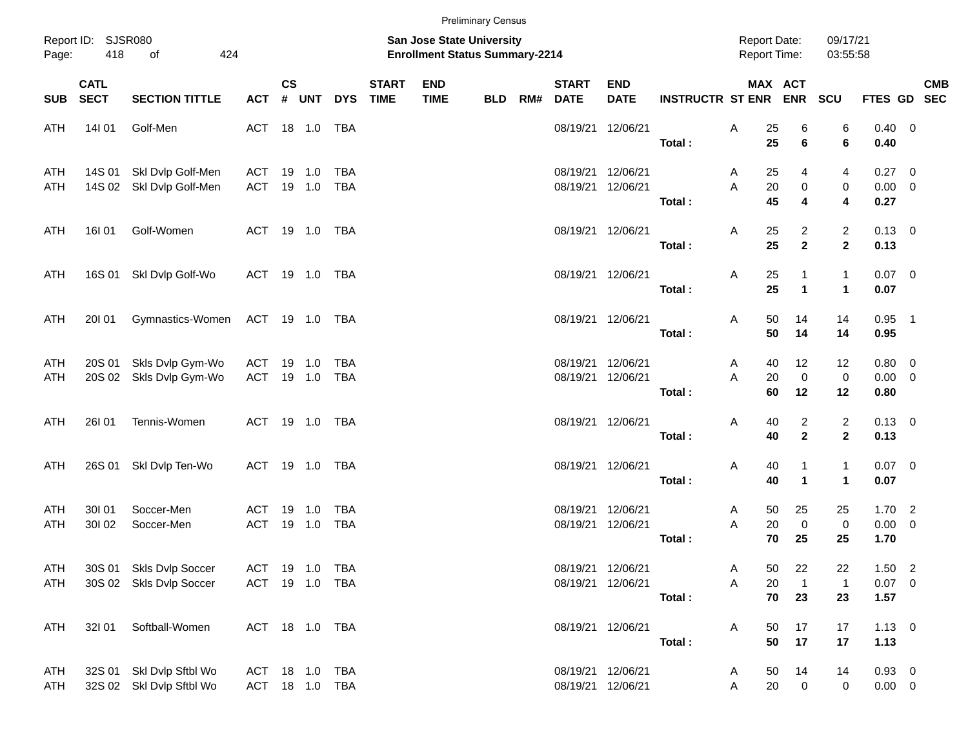|                                                 |                            |                                                      |                |               |                                                                    |                |                             |                           | <b>Preliminary Census</b> |     |                             |                                        |                             |        |                                                        |                                |                                |                           |  |            |
|-------------------------------------------------|----------------------------|------------------------------------------------------|----------------|---------------|--------------------------------------------------------------------|----------------|-----------------------------|---------------------------|---------------------------|-----|-----------------------------|----------------------------------------|-----------------------------|--------|--------------------------------------------------------|--------------------------------|--------------------------------|---------------------------|--|------------|
| Report ID: SJSR080<br>418<br>424<br>Page:<br>of |                            |                                                      |                |               | San Jose State University<br><b>Enrollment Status Summary-2214</b> |                |                             |                           |                           |     |                             |                                        |                             |        | <b>Report Date:</b><br>09/17/21<br><b>Report Time:</b> |                                |                                | 03:55:58                  |  |            |
| <b>SUB</b>                                      | <b>CATL</b><br><b>SECT</b> | <b>SECTION TITTLE</b>                                | <b>ACT</b>     | $\mathsf{cs}$ | # UNT                                                              | <b>DYS</b>     | <b>START</b><br><b>TIME</b> | <b>END</b><br><b>TIME</b> | <b>BLD</b>                | RM# | <b>START</b><br><b>DATE</b> | <b>END</b><br><b>DATE</b>              | <b>INSTRUCTR ST ENR ENR</b> |        | MAX ACT                                                |                                | SCU                            | FTES GD SEC               |  | <b>CMB</b> |
| ATH                                             | 14101                      | Golf-Men                                             | ACT 18 1.0     |               |                                                                    | TBA            |                             |                           |                           |     |                             | 08/19/21 12/06/21                      | Total:                      | Α      | 25<br>25                                               | 6<br>6                         | 6<br>6                         | $0.40 \quad 0$<br>0.40    |  |            |
| ATH                                             | 14S 01                     | Skl Dvlp Golf-Men                                    | ACT            | 19            | 1.0                                                                | TBA            |                             |                           |                           |     |                             | 08/19/21 12/06/21                      |                             | A      | 25                                                     | 4                              | 4                              | $0.27$ 0                  |  |            |
| ATH                                             |                            | 14S 02 Skl Dvlp Golf-Men                             | ACT            |               | 19 1.0                                                             | TBA            |                             |                           |                           |     |                             | 08/19/21 12/06/21                      | Total:                      | A      | 20<br>45                                               | 0<br>4                         | 0<br>4                         | $0.00 \t 0$<br>0.27       |  |            |
| ATH                                             | <b>16I 01</b>              | Golf-Women                                           | ACT 19 1.0 TBA |               |                                                                    |                |                             |                           |                           |     |                             | 08/19/21 12/06/21                      | Total:                      | Α      | 25<br>25                                               | 2<br>$\overline{2}$            | $\overline{c}$<br>$\mathbf{2}$ | $0.13 \quad 0$<br>0.13    |  |            |
| ATH                                             |                            | 16S 01 SkI Dvlp Golf-Wo                              | ACT 19 1.0 TBA |               |                                                                    |                |                             |                           |                           |     |                             | 08/19/21 12/06/21                      |                             | Α      | 25                                                     | 1                              | $\mathbf{1}$                   | $0.07$ 0                  |  |            |
|                                                 |                            |                                                      |                |               |                                                                    |                |                             |                           |                           |     |                             |                                        | Total:                      |        | 25                                                     | $\mathbf{1}$                   | $\mathbf{1}$                   | 0.07                      |  |            |
| <b>ATH</b>                                      | 20101                      | Gymnastics-Women                                     | ACT 19 1.0 TBA |               |                                                                    |                |                             |                           |                           |     |                             | 08/19/21 12/06/21                      | Total:                      | Α      | 50<br>50                                               | 14<br>14                       | 14<br>14                       | $0.95$ 1<br>0.95          |  |            |
| ATH<br>ATH                                      | 20S 01<br>20S 02           | Skls Dvlp Gym-Wo<br>Skls Dvlp Gym-Wo                 | ACT<br>ACT     | 19            | 1.0<br>19 1.0                                                      | TBA<br>TBA     |                             |                           |                           |     |                             | 08/19/21 12/06/21<br>08/19/21 12/06/21 |                             | A<br>A | 40<br>20                                               | 12<br>$\mathbf 0$              | 12<br>$\pmb{0}$                | $0.80 \ 0$<br>$0.00 \t 0$ |  |            |
|                                                 |                            |                                                      |                |               |                                                                    |                |                             |                           |                           |     |                             |                                        | Total:                      |        | 60                                                     | 12                             | 12                             | 0.80                      |  |            |
| <b>ATH</b>                                      | <b>26101</b>               | Tennis-Women                                         | ACT 19 1.0 TBA |               |                                                                    |                |                             |                           |                           |     |                             | 08/19/21 12/06/21                      | Total:                      | Α      | 40<br>40                                               | $\overline{c}$<br>$\mathbf{2}$ | $\overline{c}$<br>$\mathbf{2}$ | $0.13 \quad 0$<br>0.13    |  |            |
| ATH                                             | 26S 01                     | Skl Dvlp Ten-Wo                                      | ACT 19 1.0 TBA |               |                                                                    |                |                             |                           |                           |     |                             | 08/19/21 12/06/21                      | Total:                      | Α      | 40<br>40                                               | 1<br>$\mathbf{1}$              | $\mathbf{1}$<br>$\mathbf{1}$   | $0.07$ 0<br>0.07          |  |            |
| ATH                                             | 30101                      | Soccer-Men                                           | ACT            | 19            | 1.0                                                                | TBA            |                             |                           |                           |     | 08/19/21                    | 12/06/21                               |                             | A      | 50                                                     | 25                             | 25                             | $1.70$ 2                  |  |            |
| <b>ATH</b>                                      | 30102                      | Soccer-Men                                           | <b>ACT</b>     |               | 19 1.0                                                             | TBA            |                             |                           |                           |     | 08/19/21                    | 12/06/21                               | Total:                      | A      | 20<br>70                                               | $\mathbf 0$<br>25              | $\pmb{0}$<br>25                | $0.00 \t 0$<br>1.70       |  |            |
| ATH                                             |                            | 30S 01 Skls Dvlp Soccer                              | ACT 19 1.0 TBA |               |                                                                    |                |                             |                           |                           |     |                             | 08/19/21 12/06/21                      |                             | A      | 50                                                     | 22                             | 22                             | 1.50 2                    |  |            |
| <b>ATH</b>                                      |                            | 30S 02 Skls Dvlp Soccer                              | ACT 19 1.0 TBA |               |                                                                    |                |                             |                           |                           |     |                             | 08/19/21 12/06/21                      | Total:                      | Α      | 20<br>70                                               | $\overline{1}$<br>23           | $\mathbf{1}$<br>23             | $0.07$ 0<br>1.57          |  |            |
| ATH                                             | 32101                      | Softball-Women                                       | ACT 18 1.0 TBA |               |                                                                    |                |                             |                           |                           |     |                             | 08/19/21 12/06/21                      | Total:                      | A      | 50<br>50                                               | 17<br>17                       | 17<br>17                       | $1.13 \ 0$<br>1.13        |  |            |
| ATH<br><b>ATH</b>                               |                            | 32S 01 SkI Dvlp Sftbl Wo<br>32S 02 Skl Dvlp Sftbl Wo | ACT 18 1.0 TBA |               |                                                                    | ACT 18 1.0 TBA |                             |                           |                           |     |                             | 08/19/21 12/06/21<br>08/19/21 12/06/21 |                             | A<br>A | 50<br>20                                               | 14<br>$\overline{0}$           | 14<br>$\pmb{0}$                | $0.93 \ 0$<br>$0.00 \t 0$ |  |            |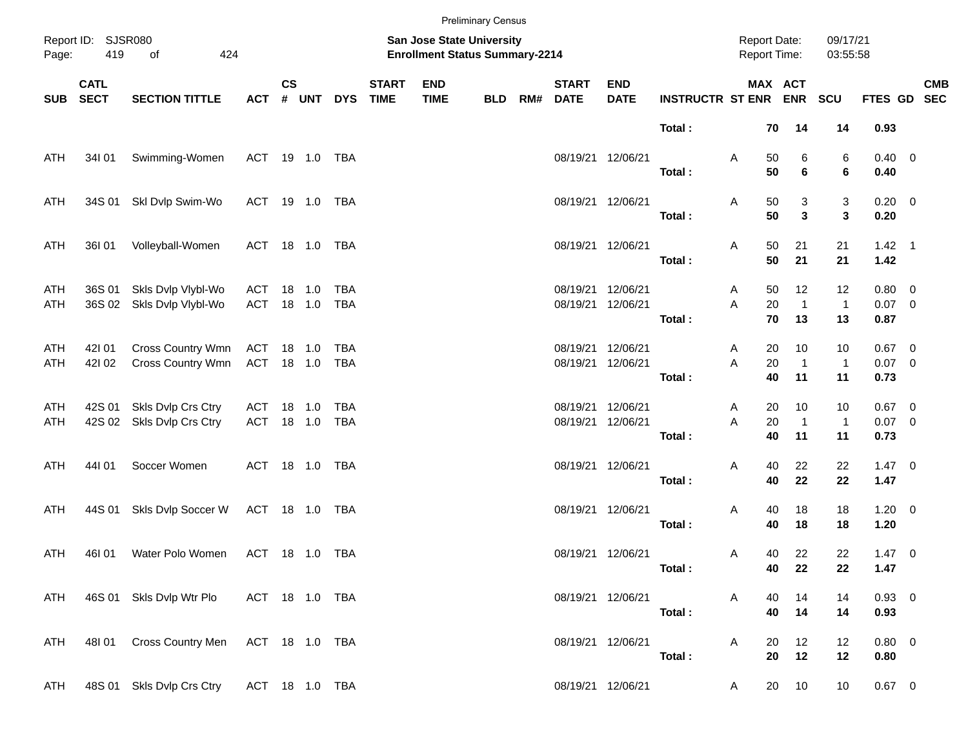|                                                 |                            |                                          |                   |                                                                           |        |            |                             |                           | <b>Preliminary Census</b> |     |                             |                           |                         |                                            |                |                            |                          |                              |            |
|-------------------------------------------------|----------------------------|------------------------------------------|-------------------|---------------------------------------------------------------------------|--------|------------|-----------------------------|---------------------------|---------------------------|-----|-----------------------------|---------------------------|-------------------------|--------------------------------------------|----------------|----------------------------|--------------------------|------------------------------|------------|
| Report ID: SJSR080<br>419<br>of<br>424<br>Page: |                            |                                          |                   | <b>San Jose State University</b><br><b>Enrollment Status Summary-2214</b> |        |            |                             |                           |                           |     |                             |                           |                         | <b>Report Date:</b><br><b>Report Time:</b> |                |                            | 09/17/21<br>03:55:58     |                              |            |
| <b>SUB</b>                                      | <b>CATL</b><br><b>SECT</b> | <b>SECTION TITTLE</b>                    | <b>ACT</b>        | $\mathsf{cs}$                                                             | # UNT  | <b>DYS</b> | <b>START</b><br><b>TIME</b> | <b>END</b><br><b>TIME</b> | <b>BLD</b>                | RM# | <b>START</b><br><b>DATE</b> | <b>END</b><br><b>DATE</b> | <b>INSTRUCTR ST ENR</b> | MAX ACT                                    |                | <b>ENR</b>                 | SCU                      | FTES GD SEC                  | <b>CMB</b> |
|                                                 |                            |                                          |                   |                                                                           |        |            |                             |                           |                           |     |                             |                           | Total:                  |                                            | 70             | 14                         | 14                       | 0.93                         |            |
| ATH                                             | 34I 01                     | Swimming-Women                           | ACT 19 1.0 TBA    |                                                                           |        |            |                             |                           |                           |     | 08/19/21 12/06/21           |                           | Total:                  | Α                                          | 50<br>50       | 6<br>6                     | 6<br>6                   | $0.40 \ 0$<br>0.40           |            |
| ATH                                             | 34S 01                     | Skl Dvlp Swim-Wo                         | ACT 19 1.0        |                                                                           |        | TBA        |                             |                           |                           |     | 08/19/21 12/06/21           |                           |                         | Α                                          | 50<br>50       | 3<br>3                     | 3<br>$\mathbf{3}$        | $0.20 \ 0$<br>0.20           |            |
|                                                 |                            |                                          |                   |                                                                           |        |            |                             |                           |                           |     |                             |                           | Total:                  |                                            |                |                            |                          |                              |            |
| ATH                                             | 36I 01                     | Volleyball-Women                         | ACT 18 1.0        |                                                                           |        | TBA        |                             |                           |                           |     | 08/19/21 12/06/21           |                           | Total:                  | Α                                          | 50<br>50       | 21<br>21                   | 21<br>21                 | $1.42 \quad 1$<br>1.42       |            |
| ATH<br>ATH                                      | 36S 01<br>36S 02           | Skls Dvlp Vlybl-Wo<br>Skls Dvlp Vlybl-Wo | ACT<br>ACT 18 1.0 |                                                                           | 18 1.0 | TBA<br>TBA |                             |                           |                           |     | 08/19/21<br>08/19/21        | 12/06/21<br>12/06/21      |                         | A<br>A                                     | 50<br>20       | 12<br>$\mathbf{1}$         | 12<br>$\mathbf{1}$       | $0.80 \t 0$<br>$0.07$ 0      |            |
|                                                 |                            |                                          |                   |                                                                           |        |            |                             |                           |                           |     |                             |                           | Total:                  |                                            | 70             | 13                         | 13                       | 0.87                         |            |
| ATH<br><b>ATH</b>                               | 42101<br>421 02            | Cross Country Wmn<br>Cross Country Wmn   | ACT<br>ACT 18 1.0 |                                                                           | 18 1.0 | TBA<br>TBA |                             |                           |                           |     | 08/19/21<br>08/19/21        | 12/06/21<br>12/06/21      | Total:                  | A<br>A                                     | 20<br>20<br>40 | 10<br>$\overline{1}$<br>11 | 10<br>$\mathbf{1}$<br>11 | $0.67$ 0<br>$0.07$ 0<br>0.73 |            |
|                                                 |                            | Skls Dvlp Crs Ctry                       |                   |                                                                           |        | TBA        |                             |                           |                           |     | 08/19/21                    | 12/06/21                  |                         |                                            | 20             | 10                         | 10                       | $0.67$ 0                     |            |
| ATH<br>ATH                                      | 42S 01<br>42S 02           | Skls Dvlp Crs Ctry                       | ACT<br>ACT 18 1.0 |                                                                           | 18 1.0 | TBA        |                             |                           |                           |     | 08/19/21                    | 12/06/21                  | Total:                  | A<br>A                                     | 20<br>40       | $\overline{1}$<br>11       | $\mathbf{1}$<br>11       | $0.07$ 0<br>0.73             |            |
| ATH                                             | 44101                      | Soccer Women                             | ACT 18 1.0 TBA    |                                                                           |        |            |                             |                           |                           |     | 08/19/21 12/06/21           |                           |                         | Α                                          | 40             | 22                         | 22                       | $1.47 \ 0$                   |            |
|                                                 |                            |                                          |                   |                                                                           |        |            |                             |                           |                           |     |                             |                           | Total:                  |                                            | 40             | 22                         | 22                       | 1.47                         |            |
| ATH                                             | 44S 01                     | Skls Dvlp Soccer W                       | ACT 18 1.0 TBA    |                                                                           |        |            |                             |                           |                           |     | 08/19/21 12/06/21           |                           | Total:                  | Α                                          | 40<br>40       | 18<br>18                   | 18<br>18                 | $1.20 \t 0$<br>1.20          |            |
| <b>ATH</b>                                      | 46I 01                     | Water Polo Women                         | ACT 18 1.0 TBA    |                                                                           |        |            |                             |                           |                           |     | 08/19/21 12/06/21           |                           | Total:                  | A                                          | 40<br>40       | 22<br>22                   | 22<br>22                 | $1.47 \t0$<br>1.47           |            |
| ATH                                             |                            | 46S 01 Skls Dvlp Wtr Plo                 | ACT 18 1.0 TBA    |                                                                           |        |            |                             |                           |                           |     |                             | 08/19/21 12/06/21         | Total:                  | A                                          | 40<br>40       | 14<br>14                   | 14<br>14                 | 0.93 0<br>0.93               |            |
| ATH                                             |                            | 48101 Cross Country Men                  | ACT 18 1.0 TBA    |                                                                           |        |            |                             |                           |                           |     |                             | 08/19/21 12/06/21         |                         | A                                          | 20             | 12                         | 12                       | $0.80 \t 0$                  |            |
| ATH                                             |                            | 48S 01 Skls Dvlp Crs Ctry                | ACT 18 1.0 TBA    |                                                                           |        |            |                             |                           |                           |     |                             | 08/19/21 12/06/21         | Total:                  | A                                          | 20<br>20       | 12<br>10                   | 12<br>10                 | 0.80<br>$0.67$ 0             |            |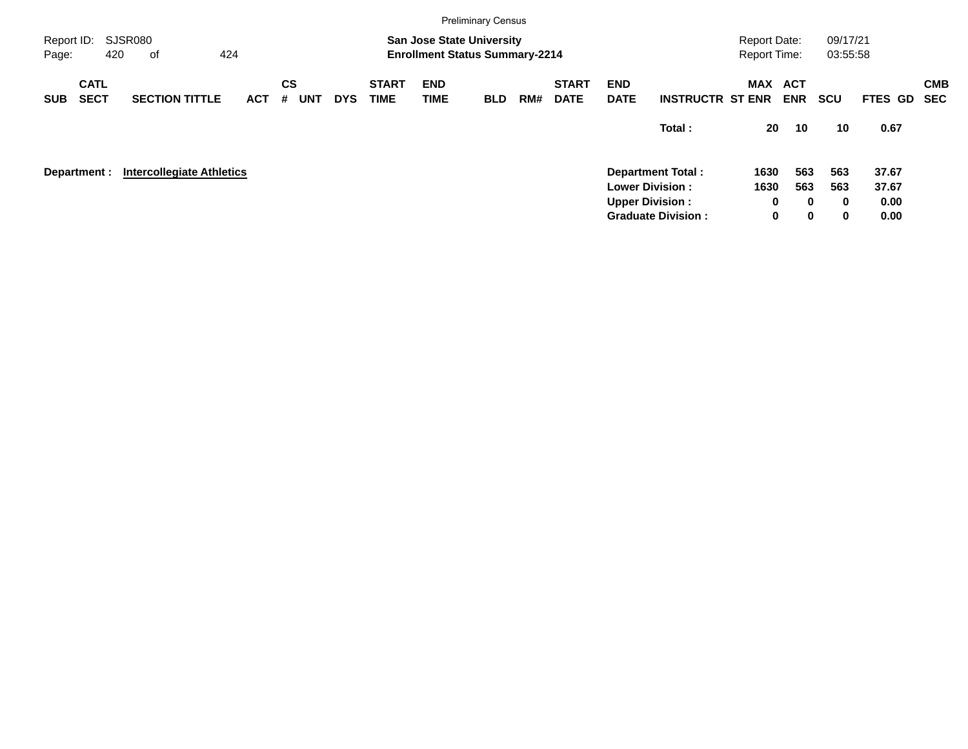|                                                    |                            |                                  |            |                                                                           |            |            |                             |                           | <b>Preliminary Census</b> |     |                             |                           |                                                                    |             |                          |            |             |            |
|----------------------------------------------------|----------------------------|----------------------------------|------------|---------------------------------------------------------------------------|------------|------------|-----------------------------|---------------------------|---------------------------|-----|-----------------------------|---------------------------|--------------------------------------------------------------------|-------------|--------------------------|------------|-------------|------------|
| SJSR080<br>Report ID:<br>424<br>420<br>Page:<br>of |                            |                                  |            | <b>San Jose State University</b><br><b>Enrollment Status Summary-2214</b> |            |            |                             |                           |                           |     |                             |                           | 09/17/21<br><b>Report Date:</b><br><b>Report Time:</b><br>03:55:58 |             |                          |            |             |            |
| <b>SUB</b>                                         | <b>CATL</b><br><b>SECT</b> | <b>SECTION TITTLE</b>            | <b>ACT</b> | <b>CS</b><br>#                                                            | <b>UNT</b> | <b>DYS</b> | <b>START</b><br><b>TIME</b> | <b>END</b><br><b>TIME</b> | <b>BLD</b>                | RM# | <b>START</b><br><b>DATE</b> | <b>END</b><br><b>DATE</b> | <b>INSTRUCTR ST ENR</b>                                            | MAX         | <b>ACT</b><br><b>ENR</b> | <b>SCU</b> | FTES GD SEC | <b>CMB</b> |
|                                                    |                            |                                  |            |                                                                           |            |            |                             |                           |                           |     |                             |                           | Total:                                                             | 20          | 10                       | 10         | 0.67        |            |
|                                                    | Department :               | <b>Intercollegiate Athletics</b> |            |                                                                           |            |            |                             |                           |                           |     |                             |                           | <b>Department Total:</b>                                           | 1630        | 563                      | 563        | 37.67       |            |
|                                                    |                            |                                  |            |                                                                           |            |            |                             |                           |                           |     |                             |                           | <b>Lower Division:</b>                                             | 1630        | 563                      | 563        | 37.67       |            |
|                                                    |                            |                                  |            |                                                                           |            |            |                             |                           |                           |     |                             |                           | <b>Upper Division:</b>                                             | 0           | $\bf{0}$                 | $\bf{0}$   | 0.00        |            |
|                                                    |                            |                                  |            |                                                                           |            |            |                             |                           |                           |     |                             |                           | <b>Graduate Division:</b>                                          | $\mathbf 0$ | $\mathbf 0$              | 0          | 0.00        |            |